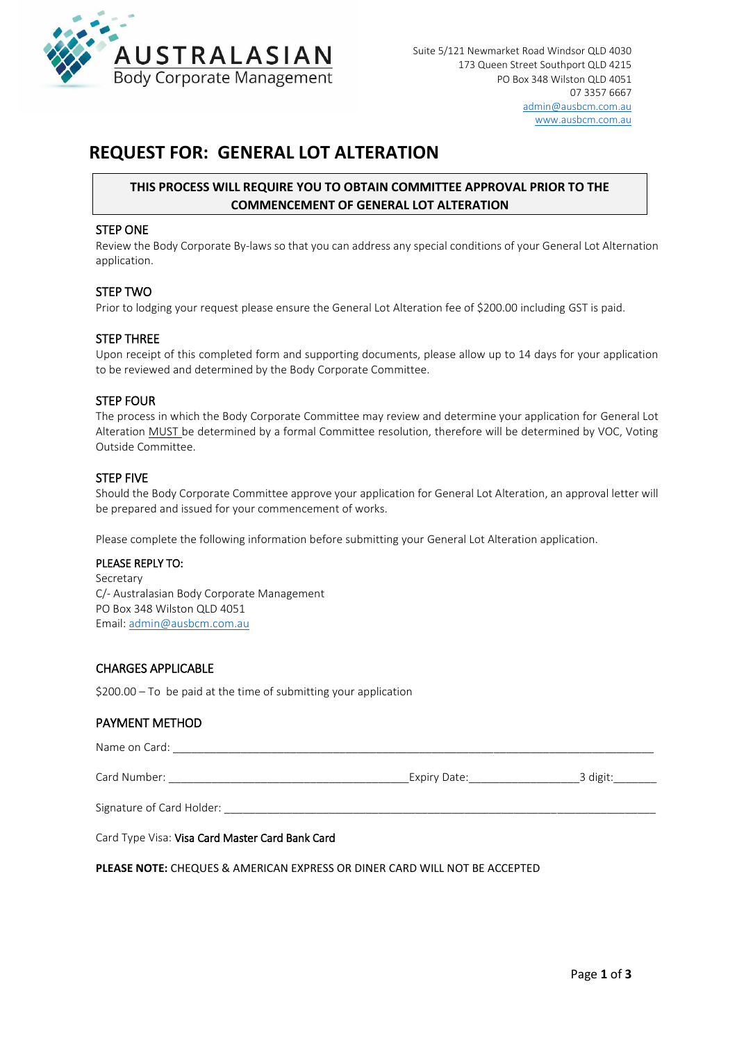

## **REQUEST FOR: GENERAL LOT ALTERATION**

## **THIS PROCESS WILL REQUIRE YOU TO OBTAIN COMMITTEE APPROVAL PRIOR TO THE COMMENCEMENT OF GENERAL LOT ALTERATION**

#### STEP ONE

Review the Body Corporate By-laws so that you can address any special conditions of your General Lot Alternation application.

#### STEP TWO

Prior to lodging your request please ensure the General Lot Alteration fee of \$200.00 including GST is paid.

#### STEP THREE

Upon receipt of this completed form and supporting documents, please allow up to 14 days for your application to be reviewed and determined by the Body Corporate Committee.

### STEP FOUR

The process in which the Body Corporate Committee may review and determine your application for General Lot Alteration MUST be determined by a formal Committee resolution, therefore will be determined by VOC, Voting Outside Committee.

#### STEP FIVE

Should the Body Corporate Committee approve your application for General Lot Alteration, an approval letter will be prepared and issued for your commencement of works.

Please complete the following information before submitting your General Lot Alteration application.

#### PLEASE REPLY TO:

Secretary C/- Australasian Body Corporate Management PO Box 348 Wilston QLD 4051 Email: [admin@ausbcm.com.au](mailto:admin@ausbcm.com.au) 

### CHARGES APPLICABLE

\$200.00 – To be paid at the time of submitting your application

### PAYMENT METHOD

| Name on Card:             |              |          |
|---------------------------|--------------|----------|
| Card Number:              | Expiry Date: | 3 digit: |
| Signature of Card Holder: |              |          |

Card Type Visa: Visa Card Master Card Bank Card

**PLEASE NOTE:** CHEQUES & AMERICAN EXPRESS OR DINER CARD WILL NOT BE ACCEPTED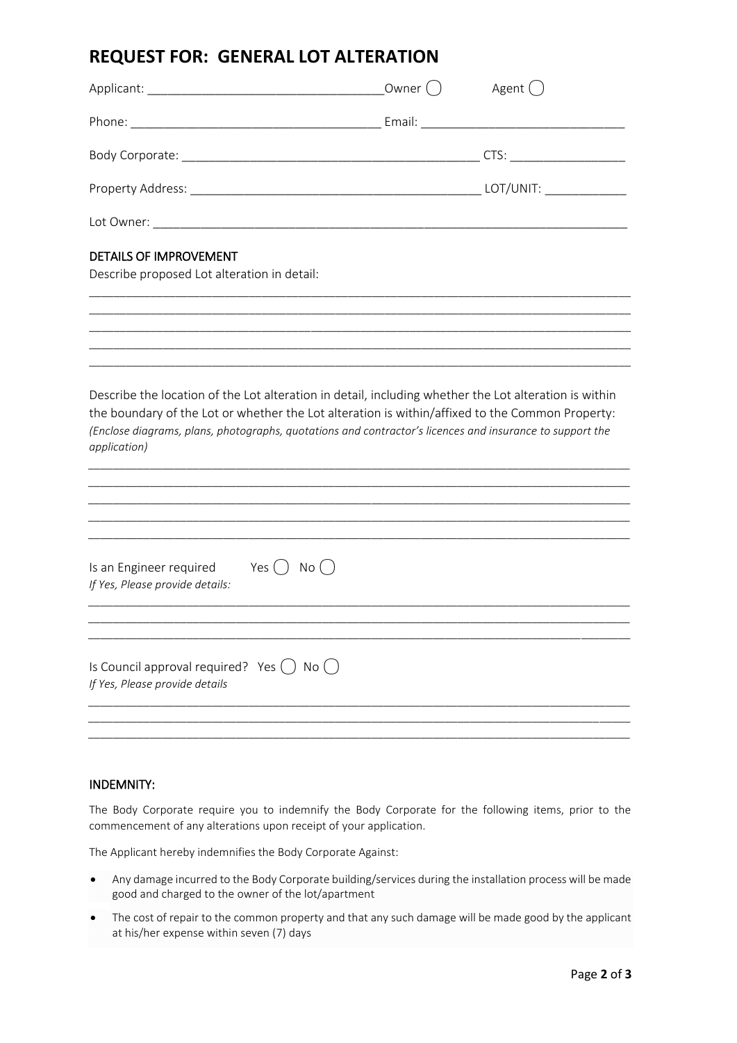# **REQUEST FOR: GENERAL LOT ALTERATION**

|                                                                                                                                                                                                                                                                                                                                      | Owner ( ) | Agent ( |  |  |
|--------------------------------------------------------------------------------------------------------------------------------------------------------------------------------------------------------------------------------------------------------------------------------------------------------------------------------------|-----------|---------|--|--|
|                                                                                                                                                                                                                                                                                                                                      |           |         |  |  |
|                                                                                                                                                                                                                                                                                                                                      |           |         |  |  |
|                                                                                                                                                                                                                                                                                                                                      |           |         |  |  |
|                                                                                                                                                                                                                                                                                                                                      |           |         |  |  |
| DETAILS OF IMPROVEMENT<br>Describe proposed Lot alteration in detail:                                                                                                                                                                                                                                                                |           |         |  |  |
|                                                                                                                                                                                                                                                                                                                                      |           |         |  |  |
|                                                                                                                                                                                                                                                                                                                                      |           |         |  |  |
| Describe the location of the Lot alteration in detail, including whether the Lot alteration is within<br>the boundary of the Lot or whether the Lot alteration is within/affixed to the Common Property:<br>(Enclose diagrams, plans, photographs, quotations and contractor's licences and insurance to support the<br>application) |           |         |  |  |
| Yes ( ) No ( )<br>Is an Engineer required<br>If Yes, Please provide details:                                                                                                                                                                                                                                                         |           |         |  |  |
| Is Council approval required? Yes $( )$ No $( )$<br>If Yes, Please provide details                                                                                                                                                                                                                                                   |           |         |  |  |

## INDEMNITY:

The Body Corporate require you to indemnify the Body Corporate for the following items, prior to the commencement of any alterations upon receipt of your application.

The Applicant hereby indemnifies the Body Corporate Against:

- Any damage incurred to the Body Corporate building/services during the installation process will be made good and charged to the owner of the lot/apartment
- The cost of repair to the common property and that any such damage will be made good by the applicant at his/her expense within seven (7) days